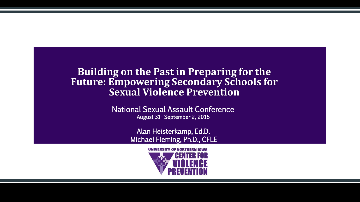### **Building on the Past in Preparing for the Future: Empowering Secondary Schools for Sexual Violence Prevention**

National Sexual Assault Conference August 31- September 2, 2016

> Alan Heisterkamp, Ed.D. Michael Fleming, Ph.D., CFLE

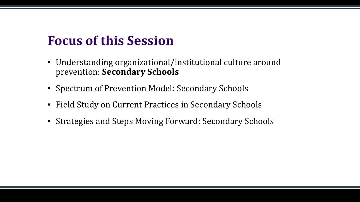# **Focus of this Session**

- Understanding organizational/institutional culture around prevention: **Secondary Schools**
- Spectrum of Prevention Model: Secondary Schools
- Field Study on Current Practices in Secondary Schools
- Strategies and Steps Moving Forward: Secondary Schools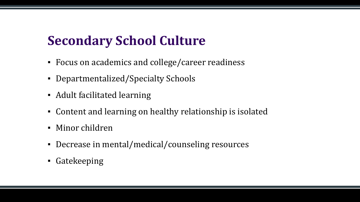# **Secondary School Culture**

- Focus on academics and college/career readiness
- Departmentalized/Specialty Schools
- Adult facilitated learning
- Content and learning on healthy relationship is isolated
- Minor children
- Decrease in mental/medical/counseling resources
- Gatekeeping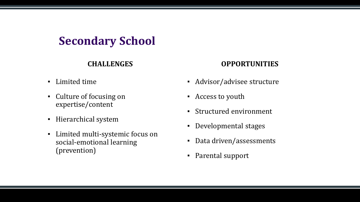### **Secondary School**

### **CHALLENGES**

- Limited time
- Culture of focusing on expertise/content
- Hierarchical system
- Limited multi-systemic focus on social-emotional learning (prevention)

### **OPPORTUNITIES**

- Advisor/advisee structure
- Access to youth
- Structured environment
- Developmental stages
- Data driven/assessments
- Parental support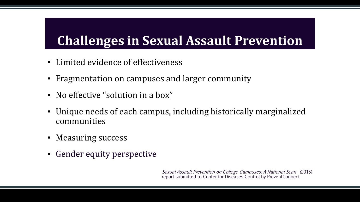# **Challenges in Sexual Assault Prevention**

- Limited evidence of effectiveness
- **Fragmentation on campuses and larger community**
- No effective "solution in a box"
- Unique needs of each campus, including historically marginalized communities
- **Measuring success**
- **Gender equity perspective**

Sexual Assault Prevention on College Campuses: A National Scan (2015) report submitted to Center for Diseases Control by PreventConnect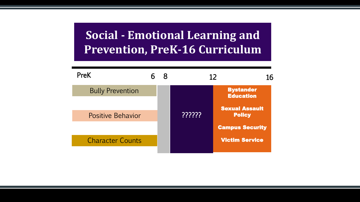### **Social - Emotional Learning and Prevention, PreK-16 Curriculum**

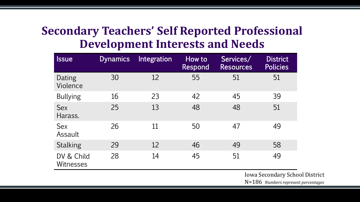### **Secondary Teachers' Self Reported Professional Development Interests and Needs**

| <b>Issue</b>                   | <b>Dynamics</b> | Integration | How to<br>Respond | Services/<br><b>Resources</b> | <b>District</b><br><b>Policies</b> |
|--------------------------------|-----------------|-------------|-------------------|-------------------------------|------------------------------------|
| Dating<br>Violence             | 30              | 12          | 55                | 51                            | 51                                 |
| <b>Bullying</b>                | 16              | 23          | 42                | 45                            | 39                                 |
| <b>Sex</b><br>Harass.          | 25              | 13          | 48                | 48                            | 51                                 |
| <b>Sex</b><br>Assault          | 26              | 11          | 50                | 47                            | 49                                 |
| <b>Stalking</b>                | 29              | 12          | 46                | 49                            | 58                                 |
| DV & Child<br><b>Witnesses</b> | 28              | 14          | 45                | 51                            | 49                                 |

Iowa Secondary School District N=186 *Numbers represent percentages*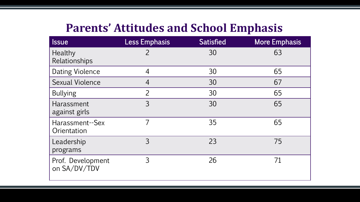### **Parents' Attitudes and School Emphasis**

| <b>Ssue</b>                       | <b>Less Emphasis</b> | <b>Satisfied</b> | <b>More Emphasis</b> |
|-----------------------------------|----------------------|------------------|----------------------|
| Healthy<br>Relationships          | $\overline{2}$       | 30               | 63                   |
| <b>Dating Violence</b>            | $\overline{4}$       | 30               | 65                   |
| <b>Sexual Violence</b>            | $\overline{4}$       | 30               | 67                   |
| <b>Bullying</b>                   | $\overline{2}$       | 30               | 65                   |
| Harassment<br>against girls       | $\overline{3}$       | 30               | 65                   |
| Harassment--Sex<br>Orientation    | $\overline{7}$       | 35               | 65                   |
| Leadership<br>programs            | $\overline{3}$       | 23               | 75                   |
| Prof. Development<br>on SA/DV/TDV | 3                    | 26               | 71                   |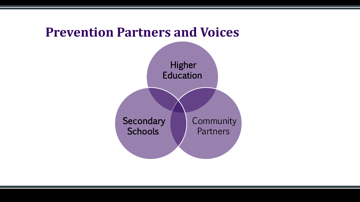# **Prevention Partners and Voices** Higher **Education Community Partners Secondary Schools**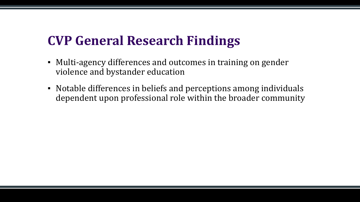# **CVP General Research Findings**

- Multi-agency differences and outcomes in training on gender violence and bystander education
- Notable differences in beliefs and perceptions among individuals dependent upon professional role within the broader community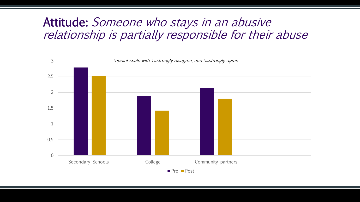### Attitude: Someone who stays in an abusive relationship is partially responsible for their abuse

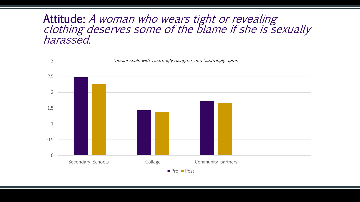### Attitude: A woman who wears tight or revealing clothing deserves some of the blame if she is sexually harassed.

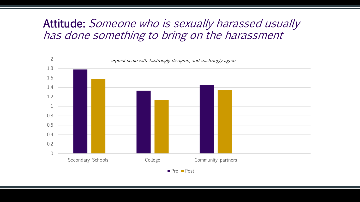### Attitude: Someone who is sexually harassed usually has done something to bring on the harassment

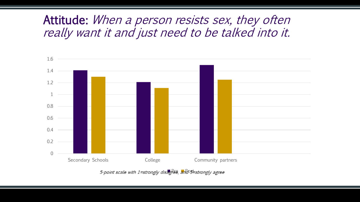### Attitude: When a person resists sex, they often really want it and just need to be talked into it.



5-point scale with 1=strongly disagree, and 05 Estrongly agree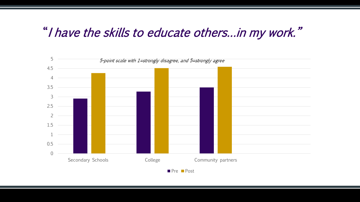### "I have the skills to educate others…in my work."

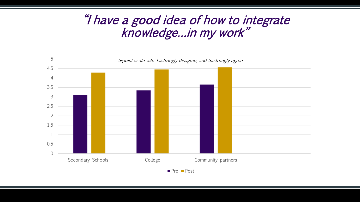### "I have a good idea of how to integrate knowledge…in my work"

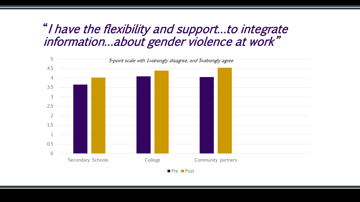### "I have the flexibility and support…to integrate information…about gender violence at work"

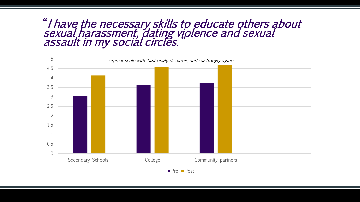### "I have the necessary skills to educate others about sexual harassment, dating violence and sexual assault in my social circles."

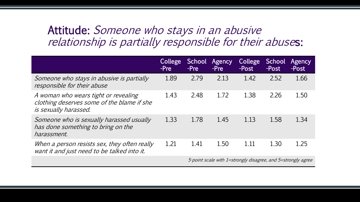### Attitude: Someone who stays in an abusive relationship is partially responsible for their abuses:

|                                                                                                             | College<br>-Pre | School<br>-Pre                                               | Agency<br>-Pre | College<br>-Post | School<br>-Post | Agency<br>-Post |
|-------------------------------------------------------------------------------------------------------------|-----------------|--------------------------------------------------------------|----------------|------------------|-----------------|-----------------|
| Someone who stays in abusive is partially<br>responsible for their abuse                                    | 1.89            | 2.79                                                         | 2.13           | 1.42             | 2.52            | 1.66            |
| A woman who wears tight or revealing<br>clothing deserves some of the blame if she<br>is sexually harassed. | 1.43            | 2.48                                                         | 1.72           | 1.38             | 2.26            | 1.50            |
| Someone who is sexually harassed usually<br>has done something to bring on the<br>harassment.               | 1.33            | 1.78                                                         | 1.45           | 1.13             | 1.58            | 1.34            |
| When a person resists sex, they often really<br>want it and just need to be talked into it.                 | 1.21            | 1.41                                                         | 1.50           | 1.11             | 1.30            | 1.25            |
|                                                                                                             |                 | 5-point scale with 1=strongly disagree, and 5=strongly agree |                |                  |                 |                 |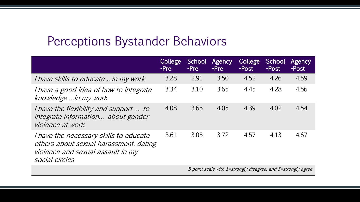## Perceptions Bystander Behaviors

|                                                                                                                                         | College<br>-Pre | School<br>-Pre | Agency<br>-Pre | College<br>-Post | <b>School</b><br>-Post | Agency<br>-Post |
|-----------------------------------------------------------------------------------------------------------------------------------------|-----------------|----------------|----------------|------------------|------------------------|-----------------|
| <i>I have skills to educate  in my work</i>                                                                                             | 3.28            | 2.91           | 3.50           | 4.52             | 4.26                   | 4.59            |
| I have a good idea of how to integrate<br>knowledge  in my work                                                                         | 3.34            | 3.10           | 3.65           | 4.45             | 4.28                   | 4.56            |
| <i>I have the flexibility and support  to</i><br>integrate information about gender<br>violence at work.                                | 4.08            | 3.65           | 4.05           | 4.39             | 4.02                   | 4.54            |
| I have the necessary skills to educate<br>others about sexual harassment, dating<br>violence and sexual assault in my<br>social circles | 3.61            | 3.05           | 3.72           | 4.57             | 4.13                   | 4.67            |
|                                                                                                                                         |                 |                |                |                  |                        |                 |

5-point scale with 1=strongly disagree, and 5=strongly agree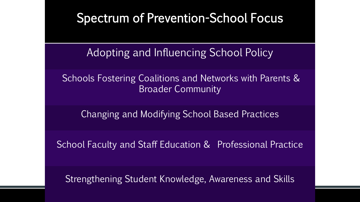### Spectrum of Prevention-School Focus

Adopting and Influencing School Policy

Schools Fostering Coalitions and Networks with Parents & Broader Community

Changing and Modifying School Based Practices

School Faculty and Staff Education & Professional Practice

Strengthening Student Knowledge, Awareness and Skills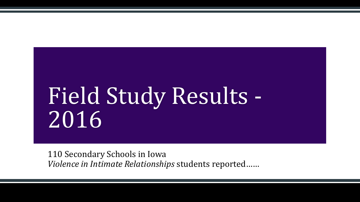# Field Study Results - 2016

110 Secondary Schools in Iowa *Violence in Intimate Relationships* students reported……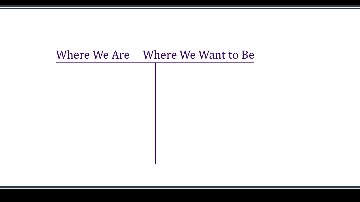# Where We Are Where We Want to Be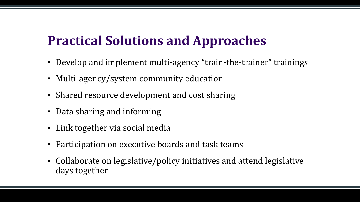# **Practical Solutions and Approaches**

- Develop and implement multi-agency "train-the-trainer" trainings
- Multi-agency/system community education
- Shared resource development and cost sharing
- Data sharing and informing
- Link together via social media
- **Participation on executive boards and task teams**
- Collaborate on legislative/policy initiatives and attend legislative days together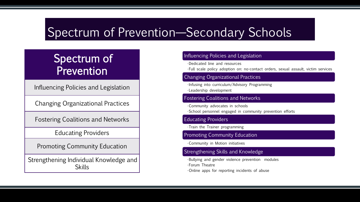# Spectrum of Prevention—Secondary Schools

### Spectrum of Prevention

Influencing Policies and Legislation

Changing Organizational Practices

Fostering Coalitions and Networks

Educating Providers

Promoting Community Education

Strengthening Individual Knowledge and **Skills** 

### Influencing Policies and Legislation

•Dedicated line and resources

•Full scale policy adoption on: no-contact orders, sexual assault, victim services

### Changing Organizational Practices

•Infusing into curriculum/Advisory Programming •Leadership development

### Fostering Coalitions and Networks

•Community advocates in schools •School personnel engaged in community prevention efforts

### Educating Providers

•Train the Trainer programming

### Promoting Community Education

•Community in Motion initiatives

### Strengthening Skills and Knowledge

•Bullying and gender violence prevention modules •Forum Theatre •Online apps for reporting incidents of abuse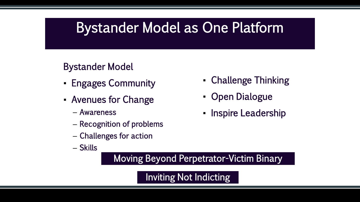# Bystander Model as One Platform

### Bystander Model

- **Engages Community**
- Avenues for Change
	- Awareness
	- Recognition of problems
	- Challenges for action
	- Skills
- Challenge Thinking
- Open Dialogue
- **Inspire Leadership**

Moving Beyond Perpetrator-Victim Binary

Inviting Not Indicting